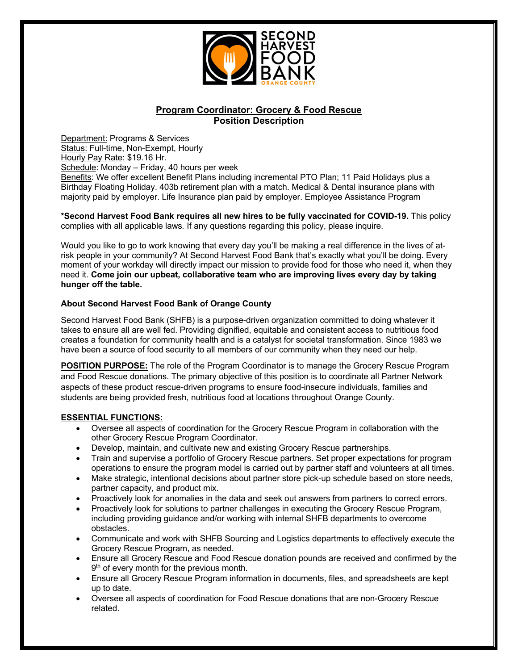

# **Program Coordinator: Grocery & Food Rescue Position Description**

Department: Programs & Services Status: Full-time, Non-Exempt, Hourly Hourly Pay Rate: \$19.16 Hr. Schedule: Monday – Friday, 40 hours per week Benefits: We offer excellent Benefit Plans including incremental PTO Plan; 11 Paid Holidays plus a Birthday Floating Holiday. 403b retirement plan with a match. Medical & Dental insurance plans with majority paid by employer. Life Insurance plan paid by employer. Employee Assistance Program

**\*Second Harvest Food Bank requires all new hires to be fully vaccinated for COVID-19.** This policy complies with all applicable laws*.* If any questions regarding this policy, please inquire.

Would you like to go to work knowing that every day you'll be making a real difference in the lives of atrisk people in your community? At Second Harvest Food Bank that's exactly what you'll be doing. Every moment of your workday will directly impact our mission to provide food for those who need it, when they need it. **Come join our upbeat, collaborative team who are improving lives every day by taking hunger off the table.** 

#### **About Second Harvest Food Bank of Orange County**

Second Harvest Food Bank (SHFB) is a purpose-driven organization committed to doing whatever it takes to ensure all are well fed. Providing dignified, equitable and consistent access to nutritious food creates a foundation for community health and is a catalyst for societal transformation. Since 1983 we have been a source of food security to all members of our community when they need our help.

**POSITION PURPOSE:** The role of the Program Coordinator is to manage the Grocery Rescue Program and Food Rescue donations. The primary objective of this position is to coordinate all Partner Network aspects of these product rescue-driven programs to ensure food-insecure individuals, families and students are being provided fresh, nutritious food at locations throughout Orange County.

#### **ESSENTIAL FUNCTIONS:**

- Oversee all aspects of coordination for the Grocery Rescue Program in collaboration with the other Grocery Rescue Program Coordinator.
- Develop, maintain, and cultivate new and existing Grocery Rescue partnerships.
- Train and supervise a portfolio of Grocery Rescue partners. Set proper expectations for program operations to ensure the program model is carried out by partner staff and volunteers at all times.
- Make strategic, intentional decisions about partner store pick-up schedule based on store needs, partner capacity, and product mix.
- Proactively look for anomalies in the data and seek out answers from partners to correct errors.
- Proactively look for solutions to partner challenges in executing the Grocery Rescue Program, including providing guidance and/or working with internal SHFB departments to overcome obstacles.
- Communicate and work with SHFB Sourcing and Logistics departments to effectively execute the Grocery Rescue Program, as needed.
- Ensure all Grocery Rescue and Food Rescue donation pounds are received and confirmed by the 9<sup>th</sup> of every month for the previous month.
- Ensure all Grocery Rescue Program information in documents, files, and spreadsheets are kept up to date.
- Oversee all aspects of coordination for Food Rescue donations that are non-Grocery Rescue related.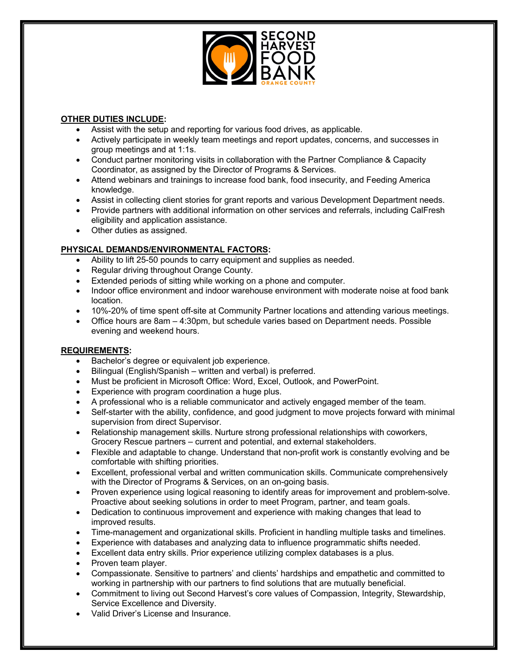

## **OTHER DUTIES INCLUDE:**

- Assist with the setup and reporting for various food drives, as applicable.
- Actively participate in weekly team meetings and report updates, concerns, and successes in group meetings and at 1:1s.
- Conduct partner monitoring visits in collaboration with the Partner Compliance & Capacity Coordinator, as assigned by the Director of Programs & Services.
- Attend webinars and trainings to increase food bank, food insecurity, and Feeding America knowledge.
- Assist in collecting client stories for grant reports and various Development Department needs.
- Provide partners with additional information on other services and referrals, including CalFresh eligibility and application assistance.
- Other duties as assigned.

# **PHYSICAL DEMANDS/ENVIRONMENTAL FACTORS:**

- Ability to lift 25-50 pounds to carry equipment and supplies as needed.
- Regular driving throughout Orange County.
- Extended periods of sitting while working on a phone and computer.
- Indoor office environment and indoor warehouse environment with moderate noise at food bank location.
- 10%-20% of time spent off-site at Community Partner locations and attending various meetings.
- Office hours are 8am 4:30pm, but schedule varies based on Department needs. Possible evening and weekend hours.

### **REQUIREMENTS:**

- Bachelor's degree or equivalent job experience.
- Bilingual (English/Spanish written and verbal) is preferred.
- Must be proficient in Microsoft Office: Word, Excel, Outlook, and PowerPoint.
- Experience with program coordination a huge plus.
- A professional who is a reliable communicator and actively engaged member of the team.
- Self-starter with the ability, confidence, and good judgment to move projects forward with minimal supervision from direct Supervisor.
- Relationship management skills. Nurture strong professional relationships with coworkers, Grocery Rescue partners – current and potential, and external stakeholders.
- Flexible and adaptable to change. Understand that non-profit work is constantly evolving and be comfortable with shifting priorities.
- Excellent, professional verbal and written communication skills. Communicate comprehensively with the Director of Programs & Services, on an on-going basis.
- Proven experience using logical reasoning to identify areas for improvement and problem-solve. Proactive about seeking solutions in order to meet Program, partner, and team goals.
- Dedication to continuous improvement and experience with making changes that lead to improved results.
- Time-management and organizational skills. Proficient in handling multiple tasks and timelines.
- Experience with databases and analyzing data to influence programmatic shifts needed.
- Excellent data entry skills. Prior experience utilizing complex databases is a plus.
- Proven team player.
- Compassionate. Sensitive to partners' and clients' hardships and empathetic and committed to working in partnership with our partners to find solutions that are mutually beneficial.
- Commitment to living out Second Harvest's core values of Compassion, Integrity, Stewardship, Service Excellence and Diversity.
- Valid Driver's License and Insurance.